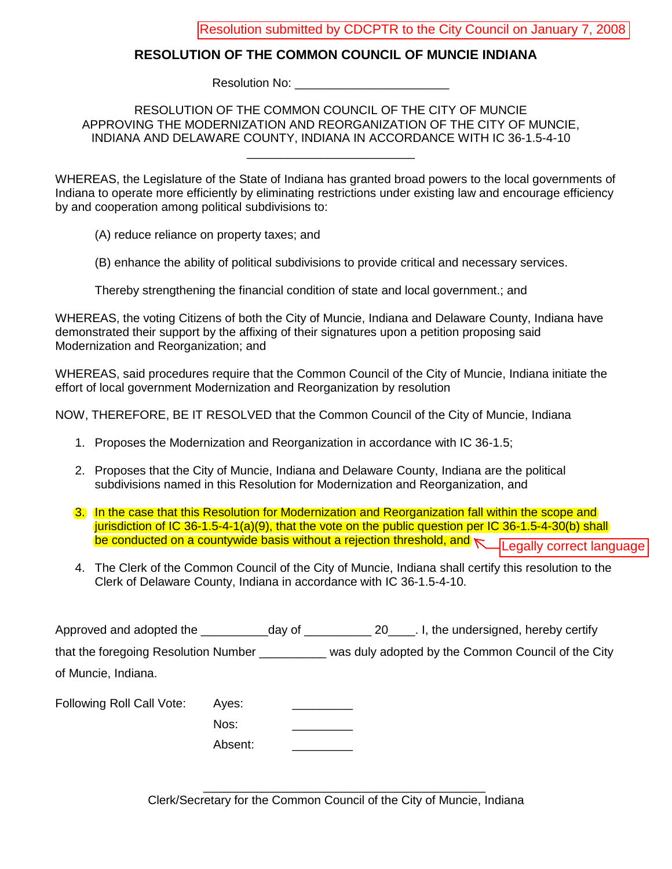## Resolution submitted by CDCPTR to the City Council on January 7, 2008

## **RESOLUTION OF THE COMMON COUNCIL OF MUNCIE INDIANA**

Resolution No: **We also have a more of the SN** 

RESOLUTION OF THE COMMON COUNCIL OF THE CITY OF MUNCIE APPROVING THE MODERNIZATION AND REORGANIZATION OF THE CITY OF MUNCIE, INDIANA AND DELAWARE COUNTY, INDIANA IN ACCORDANCE WITH IC 36-1.5-4-10 \_\_\_\_\_\_\_\_\_\_\_\_\_\_\_\_\_\_\_\_\_\_\_\_\_

WHEREAS, the Legislature of the State of Indiana has granted broad powers to the local governments of Indiana to operate more efficiently by eliminating restrictions under existing law and encourage efficiency by and cooperation among political subdivisions to:

(A) reduce reliance on property taxes; and

(B) enhance the ability of political subdivisions to provide critical and necessary services.

Thereby strengthening the financial condition of state and local government.; and

 WHEREAS, the voting Citizens of both the City of Muncie, Indiana and Delaware County, Indiana have demonstrated their support by the affixing of their signatures upon a petition proposing said Modernization and Reorganization; and

 WHEREAS, said procedures require that the Common Council of the City of Muncie, Indiana initiate the effort of local government Modernization and Reorganization by resolution

NOW, THEREFORE, BE IT RESOLVED that the Common Council of the City of Muncie, Indiana

- 1. Proposes the Modernization and Reorganization in accordance with IC 36-1.5;
- 2. Proposes that the City of Muncie, Indiana and Delaware County, Indiana are the political subdivisions named in this Resolution for Modernization and Reorganization, and
- 3. In the case that this Resolution for Modernization and Reorganization fall within the scope and jurisdiction of IC 36-1.5-4-1(a)(9), that the vote on the public question per IC 36-1.5-4-30(b) shall be conducted on a countywide basis without a rejection threshold, and Legally correct language
- 4. The Clerk of the Common Council of the City of Muncie, Indiana shall certify this resolution to the Clerk of Delaware County, Indiana in accordance with IC 36-1.5-4-10.

| Approved and adopted the             |                     |  |                                                    |
|--------------------------------------|---------------------|--|----------------------------------------------------|
| that the foregoing Resolution Number |                     |  | was duly adopted by the Common Council of the City |
| of Muncie, Indiana.                  |                     |  |                                                    |
| Following Roll Call Vote:            | Ayes:               |  |                                                    |
|                                      | Nos:                |  |                                                    |
|                                      | Absent <sup>.</sup> |  |                                                    |

\_\_\_\_\_\_\_\_\_\_\_\_\_\_\_\_\_\_\_\_\_\_\_\_\_\_\_\_\_\_\_\_\_\_\_\_\_\_\_\_\_\_ Clerk/Secretary for the Common Council of the City of Muncie, Indiana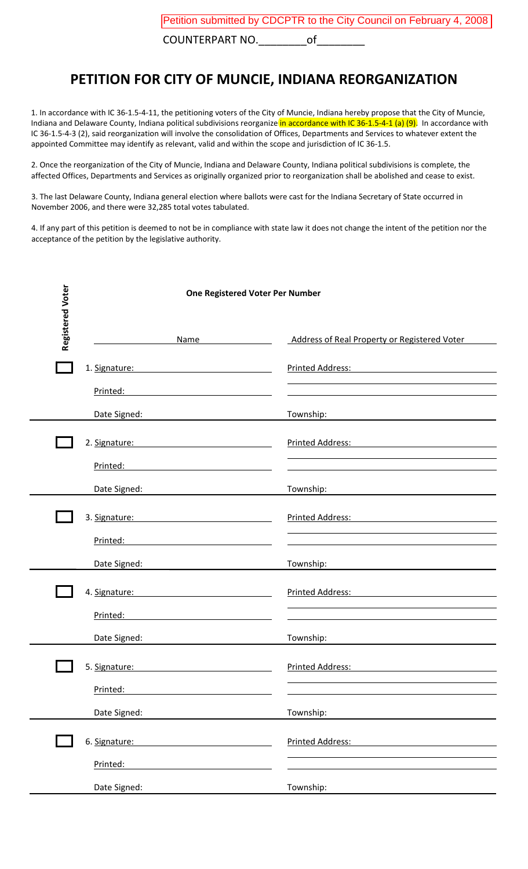COUNTERPART NO. of

## **PETITION FOR CITY OF MUNCIE, INDIANA REORGANIZATION**

1. In accordance with IC 36‐1.5‐4‐11, the petitioning voters of the City of Muncie, Indiana hereby propose that the City of Muncie, Indiana and Delaware County, Indiana political subdivisions reorganize in accordance with IC 36-1.5-4-1 (a) (9). In accordance with IC 36‐1.5‐4‐3 (2), said reorganization will involve the consolidation of Offices, Departments and Services to whatever extent the appointed Committee may identify as relevant, valid and within the scope and jurisdiction of IC 36‐1.5.

2. Once the reorganization of the City of Muncie, Indiana and Delaware County, Indiana political subdivisions is complete, the affected Offices, Departments and Services as originally organized prior to reorganization shall be abolished and cease to exist.

3. The last Delaware County, Indiana general election where ballots were cast for the Indiana Secretary of State occurred in November 2006, and there were 32,285 total votes tabulated.

4. If any part of this petition is deemed to not be in compliance with state law it does not change the intent of the petition nor the acceptance of the petition by the legislative authority.

|                  | One Registered Voter Per Number                                                                                                                                                                                                |                                              |  |
|------------------|--------------------------------------------------------------------------------------------------------------------------------------------------------------------------------------------------------------------------------|----------------------------------------------|--|
| Registered Voter | Name                                                                                                                                                                                                                           | Address of Real Property or Registered Voter |  |
|                  | 1. Signature:<br><u> 1989 - Johann Barbara, martin amerikan ba</u>                                                                                                                                                             | <b>Printed Address:</b>                      |  |
|                  | Printed:<br><u> 1980 - Jan Barbara Barbara, manazarta </u>                                                                                                                                                                     |                                              |  |
|                  | Date Signed:                                                                                                                                                                                                                   | Township:                                    |  |
|                  | 2. Signature:                                                                                                                                                                                                                  | Printed Address:                             |  |
|                  | Printed:                                                                                                                                                                                                                       |                                              |  |
|                  | Date Signed:                                                                                                                                                                                                                   | Township:                                    |  |
|                  | 3. Signature: Management Communications of the Second Second Communications of the Communications of the Communications of the Communications of the Communications of the Communications of the Communications of the Communi | <b>Printed Address:</b>                      |  |
|                  | Printed:                                                                                                                                                                                                                       |                                              |  |
|                  | Date Signed:                                                                                                                                                                                                                   | Township:                                    |  |
|                  | 4. Signature:<br><u> 1980 - Johann Barbara, martin a</u>                                                                                                                                                                       | <b>Printed Address:</b>                      |  |
|                  | Printed:                                                                                                                                                                                                                       |                                              |  |
|                  | Date Signed:                                                                                                                                                                                                                   | Township:                                    |  |
|                  | 5. Signature:                                                                                                                                                                                                                  | <b>Printed Address:</b>                      |  |
|                  | Printed:                                                                                                                                                                                                                       |                                              |  |
|                  | Date Signed:                                                                                                                                                                                                                   | Township:                                    |  |
|                  | 6. Signature:                                                                                                                                                                                                                  | <b>Printed Address:</b>                      |  |
|                  | Printed:                                                                                                                                                                                                                       |                                              |  |
|                  | Date Signed:                                                                                                                                                                                                                   | Township:                                    |  |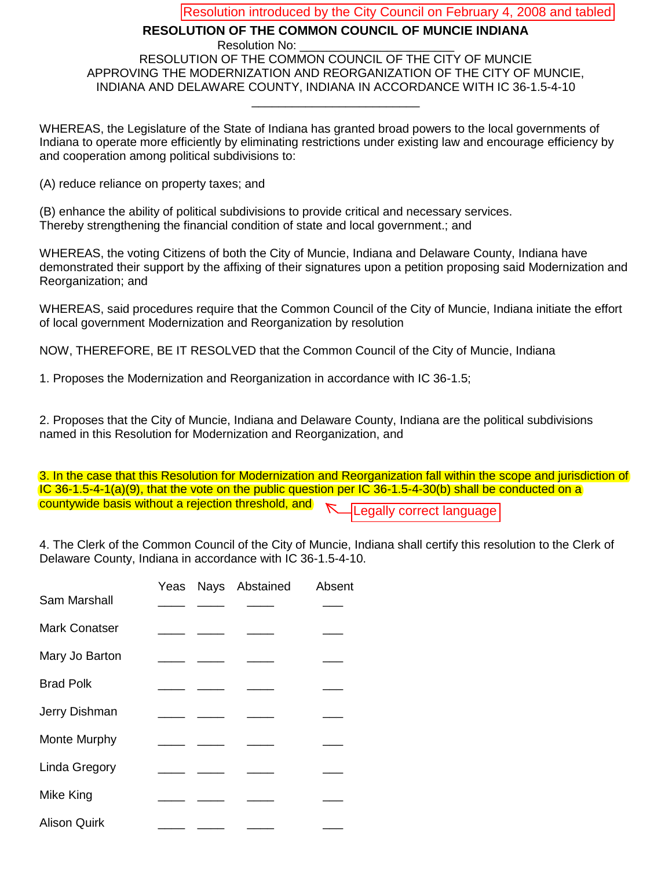### Resolution introduced by the City Council on February 4, 2008 and tabled

#### **RESOLUTION OF THE COMMON COUNCIL OF MUNCIE INDIANA** Resolution No: RESOLUTION OF THE COMMON COUNCIL OF THE CITY OF MUNCIE

APPROVING THE MODERNIZATION AND REORGANIZATION OF THE CITY OF MUNCIE, INDIANA AND DELAWARE COUNTY, INDIANA IN ACCORDANCE WITH IC 36-1.5-4-10

\_\_\_\_\_\_\_\_\_\_\_\_\_\_\_\_\_\_\_\_\_\_\_\_\_

WHEREAS, the Legislature of the State of Indiana has granted broad powers to the local governments of Indiana to operate more efficiently by eliminating restrictions under existing law and encourage efficiency by and cooperation among political subdivisions to:

(A) reduce reliance on property taxes; and

(B) enhance the ability of political subdivisions to provide critical and necessary services. Thereby strengthening the financial condition of state and local government.; and

WHEREAS, the voting Citizens of both the City of Muncie, Indiana and Delaware County, Indiana have demonstrated their support by the affixing of their signatures upon a petition proposing said Modernization and Reorganization; and

WHEREAS, said procedures require that the Common Council of the City of Muncie, Indiana initiate the effort of local government Modernization and Reorganization by resolution

NOW, THEREFORE, BE IT RESOLVED that the Common Council of the City of Muncie, Indiana

1. Proposes the Modernization and Reorganization in accordance with IC 36-1.5;

2. Proposes that the City of Muncie, Indiana and Delaware County, Indiana are the political subdivisions named in this Resolution for Modernization and Reorganization, and

3. In the case that this Resolution for Modernization and Reorganization fall within the scope and jurisdiction of IC 36-1.5-4-1(a)(9), that the vote on the public question per IC 36-1.5-4-30(b) shall be conducted on a countywide basis without a rejection threshold, and Legally correct language

4. The Clerk of the Common Council of the City of Muncie, Indiana shall certify this resolution to the Clerk of Delaware County, Indiana in accordance with IC 36-1.5-4-10.

|                      |  | Yeas Nays Abstained | Absent |
|----------------------|--|---------------------|--------|
| Sam Marshall         |  |                     |        |
| <b>Mark Conatser</b> |  |                     |        |
| Mary Jo Barton       |  |                     |        |
| <b>Brad Polk</b>     |  |                     |        |
| Jerry Dishman        |  |                     |        |
| Monte Murphy         |  |                     |        |
| Linda Gregory        |  |                     |        |
| Mike King            |  |                     |        |
| <b>Alison Quirk</b>  |  |                     |        |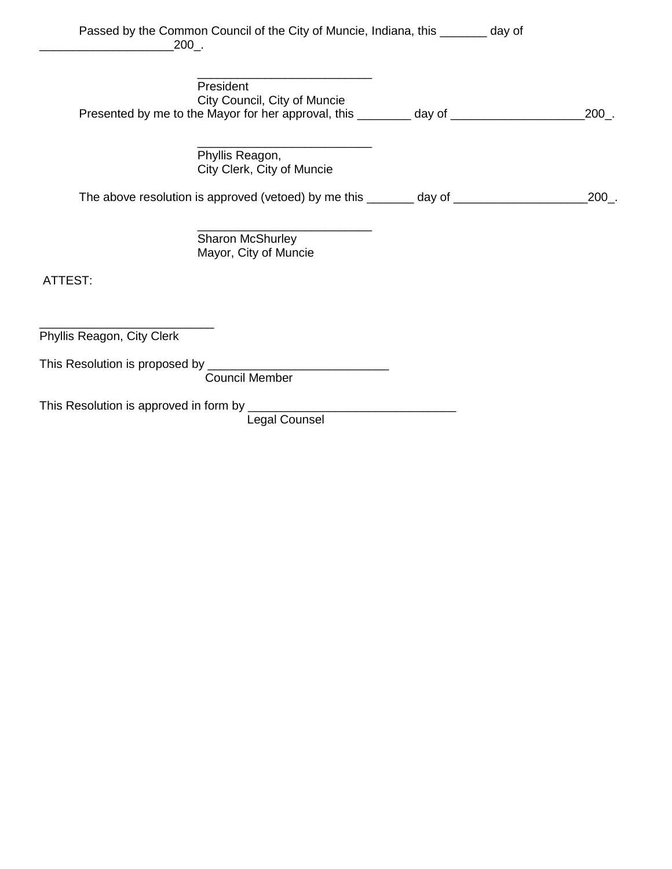| Passed by the Common Council of the City of Muncie, Indiana, this | day of |
|-------------------------------------------------------------------|--------|
| 200.                                                              |        |

 $\frac{1}{2}$  ,  $\frac{1}{2}$  ,  $\frac{1}{2}$  ,  $\frac{1}{2}$  ,  $\frac{1}{2}$  ,  $\frac{1}{2}$  ,  $\frac{1}{2}$  ,  $\frac{1}{2}$  ,  $\frac{1}{2}$  ,  $\frac{1}{2}$  ,  $\frac{1}{2}$  ,  $\frac{1}{2}$  ,  $\frac{1}{2}$  ,  $\frac{1}{2}$  ,  $\frac{1}{2}$  ,  $\frac{1}{2}$  ,  $\frac{1}{2}$  ,  $\frac{1}{2}$  ,  $\frac{1$  President City Council, City of Muncie Presented by me to the Mayor for her approval, this \_\_\_\_\_\_\_\_ day of \_\_\_\_\_\_\_\_\_\_\_\_\_\_\_\_\_\_\_\_200\_.

 $\frac{1}{2}$  ,  $\frac{1}{2}$  ,  $\frac{1}{2}$  ,  $\frac{1}{2}$  ,  $\frac{1}{2}$  ,  $\frac{1}{2}$  ,  $\frac{1}{2}$  ,  $\frac{1}{2}$  ,  $\frac{1}{2}$  ,  $\frac{1}{2}$  ,  $\frac{1}{2}$  ,  $\frac{1}{2}$  ,  $\frac{1}{2}$  ,  $\frac{1}{2}$  ,  $\frac{1}{2}$  ,  $\frac{1}{2}$  ,  $\frac{1}{2}$  ,  $\frac{1}{2}$  ,  $\frac{1$  Phyllis Reagon, City Clerk, City of Muncie

The above resolution is approved (vetoed) by me this \_\_\_\_\_\_\_ day of \_\_\_\_\_\_\_\_\_\_\_\_\_\_\_\_\_\_\_\_200\_.

 $\frac{1}{2}$  ,  $\frac{1}{2}$  ,  $\frac{1}{2}$  ,  $\frac{1}{2}$  ,  $\frac{1}{2}$  ,  $\frac{1}{2}$  ,  $\frac{1}{2}$  ,  $\frac{1}{2}$  ,  $\frac{1}{2}$  ,  $\frac{1}{2}$  ,  $\frac{1}{2}$  ,  $\frac{1}{2}$  ,  $\frac{1}{2}$  ,  $\frac{1}{2}$  ,  $\frac{1}{2}$  ,  $\frac{1}{2}$  ,  $\frac{1}{2}$  ,  $\frac{1}{2}$  ,  $\frac{1$ Sharon McShurley Mayor, City of Muncie

ATTEST:

Phyllis Reagon, City Clerk

This Resolution is proposed by \_\_\_\_\_\_\_\_\_\_\_\_\_\_\_\_\_\_\_\_\_\_\_\_\_\_\_

\_\_\_\_\_\_\_\_\_\_\_\_\_\_\_\_\_\_\_\_\_\_\_\_\_\_

Council Member

This Resolution is approved in form by \_\_\_\_\_\_\_\_\_\_\_\_\_\_\_\_\_\_\_\_\_\_\_\_\_\_\_\_\_\_\_

Legal Counsel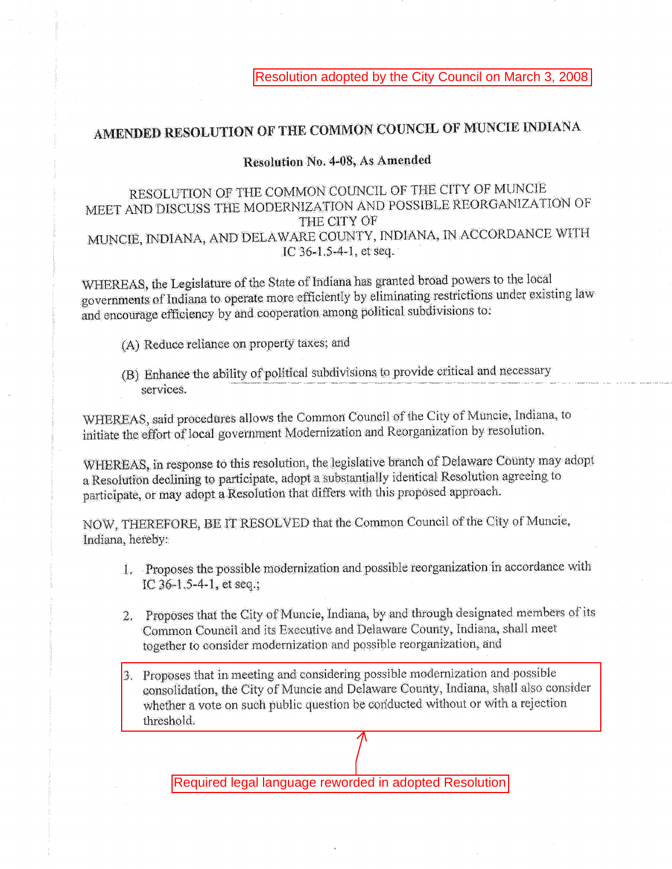Resolution adopted by the City Council on March 3, 2008

# AMENDED RESOLUTION OF THE COMMON COUNCIL OF MUNCIE INDIANA

## Resolution No. 4-08, As Amended

## RESOLUTION OF THE COMMON COUNCIL OF THE CITY OF MUNCIE MEET AND DISCUSS THE MODERNIZATION AND POSSIBLE REORGANIZATION OF THE CITY OF MUNCIE, INDIANA, AND DELAWARE COUNTY, INDIANA, IN ACCORDANCE WITH IC 36-1.5-4-1, et seq.

WHEREAS, the Legislature of the State of Indiana has granted broad powers to the local governments of Indiana to operate more efficiently by eliminating restrictions under existing law and encourage efficiency by and cooperation among political subdivisions to:

- (A) Reduce reliance on property taxes; and
- (B) Enhance the ability of political subdivisions to provide critical and necessary services.

WHEREAS, said procedures allows the Common Council of the City of Muncie, Indiana, to initiate the effort of local government Modernization and Reorganization by resolution.

WHEREAS, in response to this resolution, the legislative branch of Delaware County may adopt a Resolution declining to participate, adopt a substantially identical Resolution agreeing to participate, or may adopt a Resolution that differs with this proposed approach.

NOW, THEREFORE, BE IT RESOLVED that the Common Council of the City of Muncie, Indiana, hereby:

- 1. Proposes the possible modernization and possible reorganization in accordance with IC  $36-1.5-4-1$ , et seq.;
- 2. Proposes that the City of Muncie, Indiana, by and through designated members of its Common Council and its Executive and Delaware County, Indiana, shall meet together to consider modernization and possible reorganization, and
- 3. Proposes that in meeting and considering possible modernization and possible consolidation, the City of Muncie and Delaware County, Indiana, shall also consider whether a vote on such public question be conducted without or with a rejection threshold.

Required legal language reworded in adopted Resolution